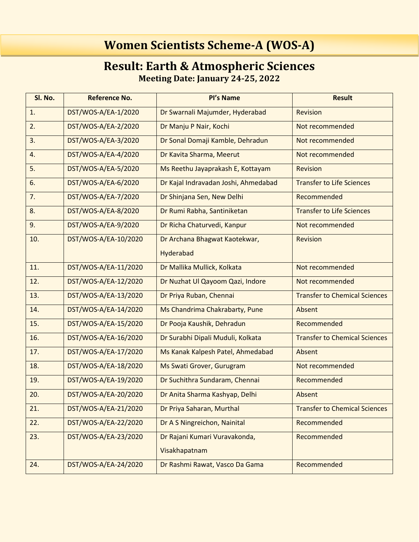## **Women Scientists Scheme-A (WOS-A)**

## **Result: Earth & Atmospheric Sciences Meeting Date: January 24-25, 2022**

| Sl. No. | <b>Reference No.</b> | Pl's Name                            | <b>Result</b>                        |
|---------|----------------------|--------------------------------------|--------------------------------------|
| 1.      | DST/WOS-A/EA-1/2020  | Dr Swarnali Majumder, Hyderabad      | <b>Revision</b>                      |
| 2.      | DST/WOS-A/EA-2/2020  | Dr Manju P Nair, Kochi               | Not recommended                      |
| 3.      | DST/WOS-A/EA-3/2020  | Dr Sonal Domaji Kamble, Dehradun     | Not recommended                      |
| 4.      | DST/WOS-A/EA-4/2020  | Dr Kavita Sharma, Meerut             | Not recommended                      |
| 5.      | DST/WOS-A/EA-5/2020  | Ms Reethu Jayaprakash E, Kottayam    | <b>Revision</b>                      |
| 6.      | DST/WOS-A/EA-6/2020  | Dr Kajal Indravadan Joshi, Ahmedabad | <b>Transfer to Life Sciences</b>     |
| 7.      | DST/WOS-A/EA-7/2020  | Dr Shinjana Sen, New Delhi           | Recommended                          |
| 8.      | DST/WOS-A/EA-8/2020  | Dr Rumi Rabha, Santiniketan          | <b>Transfer to Life Sciences</b>     |
| 9.      | DST/WOS-A/EA-9/2020  | Dr Richa Chaturvedi, Kanpur          | Not recommended                      |
| 10.     | DST/WOS-A/EA-10/2020 | Dr Archana Bhagwat Kaotekwar,        | Revision                             |
|         |                      | Hyderabad                            |                                      |
| 11.     | DST/WOS-A/EA-11/2020 | Dr Mallika Mullick, Kolkata          | Not recommended                      |
| 12.     | DST/WOS-A/EA-12/2020 | Dr Nuzhat Ul Qayoom Qazi, Indore     | Not recommended                      |
| 13.     | DST/WOS-A/EA-13/2020 | Dr Priya Ruban, Chennai              | <b>Transfer to Chemical Sciences</b> |
| 14.     | DST/WOS-A/EA-14/2020 | Ms Chandrima Chakrabarty, Pune       | Absent                               |
| 15.     | DST/WOS-A/EA-15/2020 | Dr Pooja Kaushik, Dehradun           | Recommended                          |
| 16.     | DST/WOS-A/EA-16/2020 | Dr Surabhi Dipali Muduli, Kolkata    | <b>Transfer to Chemical Sciences</b> |
| 17.     | DST/WOS-A/EA-17/2020 | Ms Kanak Kalpesh Patel, Ahmedabad    | Absent                               |
| 18.     | DST/WOS-A/EA-18/2020 | Ms Swati Grover, Gurugram            | Not recommended                      |
| 19.     | DST/WOS-A/EA-19/2020 | Dr Suchithra Sundaram, Chennai       | Recommended                          |
| 20.     | DST/WOS-A/EA-20/2020 | Dr Anita Sharma Kashyap, Delhi       | Absent                               |
| 21.     | DST/WOS-A/EA-21/2020 | Dr Priya Saharan, Murthal            | <b>Transfer to Chemical Sciences</b> |
| 22.     | DST/WOS-A/EA-22/2020 | Dr A S Ningreichon, Nainital         | Recommended                          |
| 23.     | DST/WOS-A/EA-23/2020 | Dr Rajani Kumari Vuravakonda,        | Recommended                          |
|         |                      | Visakhapatnam                        |                                      |
| 24.     | DST/WOS-A/EA-24/2020 | Dr Rashmi Rawat, Vasco Da Gama       | Recommended                          |